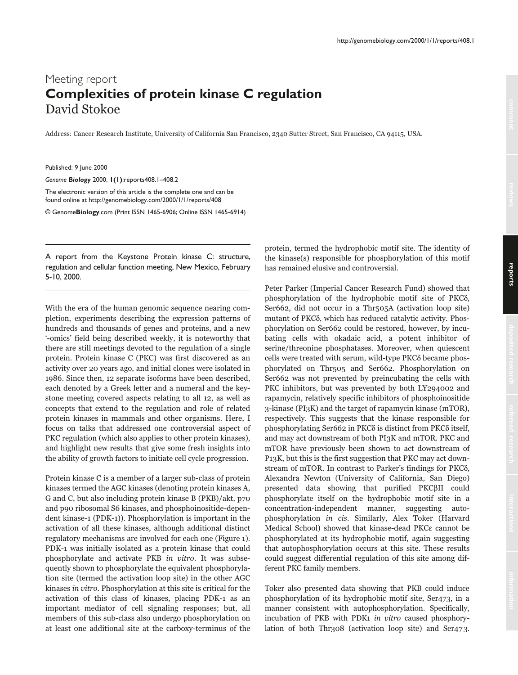## Meeting report **Complexities of protein kinase C regulation** David Stokoe

Address: Cancer Research Institute, University of California San Francisco, 2340 Sutter Street, San Francisco, CA 94115, USA.

Published: 9 June 2000

*Genome Biology* 2000, **1(1)**:reports408.1–408.2

The electronic version of this article is the complete one and can be found online at http://genomebiology.com/2000/1/1/reports/408

© Genome**Biology**.com (Print ISSN 1465-6906; Online ISSN 1465-6914)

A report from the Keystone Protein kinase C: structure, regulation and cellular function meeting, New Mexico, February 5-10, 2000.

With the era of the human genomic sequence nearing completion, experiments describing the expression patterns of hundreds and thousands of genes and proteins, and a new '-omics' field being described weekly, it is noteworthy that there are still meetings devoted to the regulation of a single protein. Protein kinase C (PKC) was first discovered as an activity over 20 years ago, and initial clones were isolated in 1986. Since then, 12 separate isoforms have been described, each denoted by a Greek letter and a numeral and the keystone meeting covered aspects relating to all 12, as well as concepts that extend to the regulation and role of related protein kinases in mammals and other organisms. Here, I focus on talks that addressed one controversial aspect of PKC regulation (which also applies to other protein kinases), and highlight new results that give some fresh insights into the ability of growth factors to initiate cell cycle progression.

Protein kinase C is a member of a larger sub-class of protein kinases termed the AGC kinases (denoting protein kinases A, G and C, but also including protein kinase B (PKB)/akt, p70 and p90 ribosomal S6 kinases, and phosphoinositide-dependent kinase-1 (PDK-1)). Phosphorylation is important in the activation of all these kinases, although additional distinct regulatory mechanisms are involved for each one (Figure 1). PDK-1 was initially isolated as a protein kinase that could phosphorylate and activate PKB in vitro. It was subsequently shown to phosphorylate the equivalent phosphorylation site (termed the activation loop site) in the other AGC kinases in vitro. Phosphorylation at this site is critical for the activation of this class of kinases, placing PDK-1 as an important mediator of cell signaling responses; but, all members of this sub-class also undergo phosphorylation on at least one additional site at the carboxy-terminus of the protein, termed the hydrophobic motif site. The identity of the kinase(s) responsible for phosphorylation of this motif has remained elusive and controversial.

Peter Parker (Imperial Cancer Research Fund) showed that phosphorylation of the hydrophobic motif site of PKCδ, Ser662, did not occur in a Thr505A (activation loop site) mutant of PKCδ, which has reduced catalytic activity. Phosphorylation on Ser662 could be restored, however, by incubating cells with okadaic acid, a potent inhibitor of serine/threonine phosphatases. Moreover, when quiescent cells were treated with serum, wild-type PKCδ became phosphorylated on Thr505 and Ser662. Phosphorylation on Ser662 was not prevented by preincubating the cells with PKC inhibitors, but was prevented by both LY294002 and rapamycin, relatively specific inhibitors of phosphoinositide 3-kinase (PI3K) and the target of rapamycin kinase (mTOR), respectively. This suggests that the kinase responsible for phosphorylating Ser662 in PKCδ is distinct from PKCδ itself, and may act downstream of both PI3K and mTOR. PKC and mTOR have previously been shown to act downstream of P13K, but this is the first suggestion that PKC may act downstream of mTOR. In contrast to Parker's findings for PKC8, Alexandra Newton (University of California, San Diego) presented data showing that purified PKCβII could phosphorylate itself on the hydrophobic motif site in a concentration-independent manner, suggesting autophosphorylation in cis. Similarly, Alex Toker (Harvard Medical School) showed that kinase-dead PKCE cannot be phosphorylated at its hydrophobic motif, again suggesting that autophosphorylation occurs at this site. These results could suggest differential regulation of this site among different PKC family members.

Toker also presented data showing that PKB could induce phosphorylation of its hydrophobic motif site, Ser473, in a manner consistent with autophosphorylation. Specifically, incubation of PKB with PDK1 in vitro caused phosphorylation of both Thr308 (activation loop site) and Ser473.